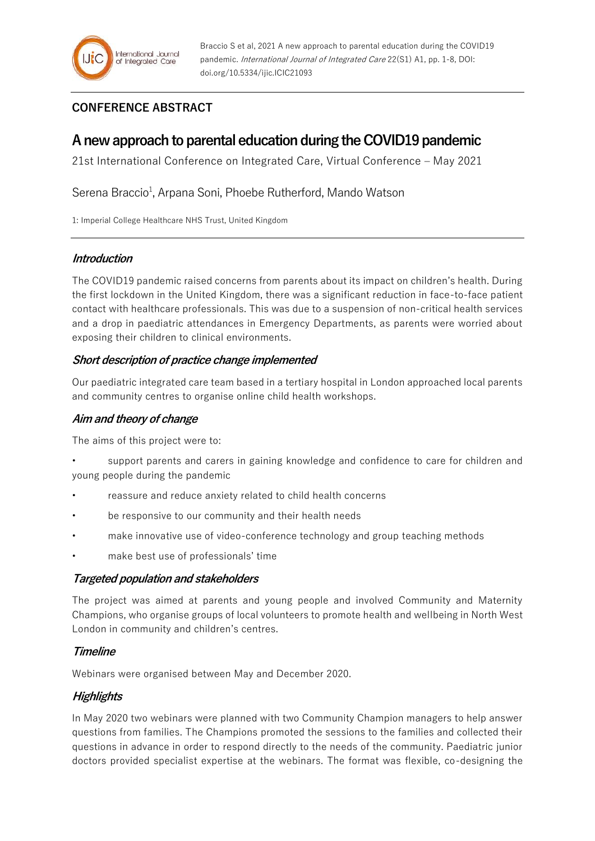## **CONFERENCE ABSTRACT**

# **A new approach to parental education during the COVID19 pandemic**

21st International Conference on Integrated Care, Virtual Conference – May 2021

Serena Braccio<sup>1</sup>, Arpana Soni, Phoebe Rutherford, Mando Watson

1: Imperial College Healthcare NHS Trust, United Kingdom

### **Introduction**

The COVID19 pandemic raised concerns from parents about its impact on children's health. During the first lockdown in the United Kingdom, there was a significant reduction in face-to-face patient contact with healthcare professionals. This was due to a suspension of non-critical health services and a drop in paediatric attendances in Emergency Departments, as parents were worried about exposing their children to clinical environments.

### **Short description of practice change implemented**

Our paediatric integrated care team based in a tertiary hospital in London approached local parents and community centres to organise online child health workshops.

### **Aim and theory of change**

The aims of this project were to:

- support parents and carers in gaining knowledge and confidence to care for children and young people during the pandemic
- reassure and reduce anxiety related to child health concerns
- be responsive to our community and their health needs
- make innovative use of video-conference technology and group teaching methods
- make best use of professionals' time

### **Targeted population and stakeholders**

The project was aimed at parents and young people and involved Community and Maternity Champions, who organise groups of local volunteers to promote health and wellbeing in North West London in community and children's centres.

### **Timeline**

Webinars were organised between May and December 2020.

### **Highlights**

In May 2020 two webinars were planned with two Community Champion managers to help answer questions from families. The Champions promoted the sessions to the families and collected their questions in advance in order to respond directly to the needs of the community. Paediatric junior doctors provided specialist expertise at the webinars. The format was flexible, co-designing the